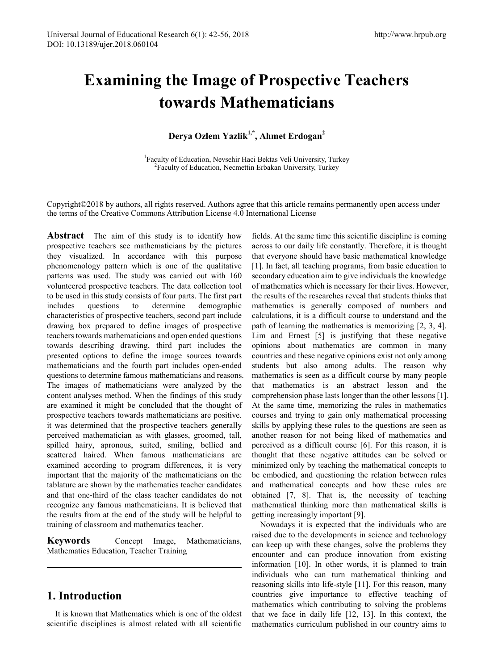# **Examining the Image of Prospective Teachers towards Mathematicians**

**Derya Ozlem Yazlik1,\*, Ahmet Erdogan2** 

<sup>1</sup> Faculty of Education, Nevsehir Haci Bektas Veli University, Turkey<br><sup>2</sup> Faculty of Education, Necmettin Erbskan University, Turkey <sup>2</sup>Faculty of Education, Necmettin Erbakan University, Turkey

Copyright©2018 by authors, all rights reserved. Authors agree that this article remains permanently open access under the terms of the Creative Commons Attribution License 4.0 International License

**Abstract** The aim of this study is to identify how prospective teachers see mathematicians by the pictures they visualized. In accordance with this purpose phenomenology pattern which is one of the qualitative patterns was used. The study was carried out with 160 volunteered prospective teachers. The data collection tool to be used in this study consists of four parts. The first part includes questions to determine demographic characteristics of prospective teachers, second part include drawing box prepared to define images of prospective teachers towards mathematicians and open ended questions towards describing drawing, third part includes the presented options to define the image sources towards mathematicians and the fourth part includes open-ended questions to determine famous mathematicians and reasons. The images of mathematicians were analyzed by the content analyses method. When the findings of this study are examined it might be concluded that the thought of prospective teachers towards mathematicians are positive. it was determined that the prospective teachers generally perceived mathematician as with glasses, groomed, tall, spilled hairy, apronous, suited, smiling, bellied and scattered haired. When famous mathematicians are examined according to program differences, it is very important that the majority of the mathematicians on the tablature are shown by the mathematics teacher candidates and that one-third of the class teacher candidates do not recognize any famous mathematicians. It is believed that the results from at the end of the study will be helpful to training of classroom and mathematics teacher.

**Keywords** Concept Image, Mathematicians, Mathematics Education, Teacher Training

## **1. Introduction**

It is known that Mathematics which is one of the oldest scientific disciplines is almost related with all scientific

fields. At the same time this scientific discipline is coming across to our daily life constantly. Therefore, it is thought that everyone should have basic mathematical knowledge [1]. In fact, all teaching programs, from basic education to secondary education aim to give individuals the knowledge of mathematics which is necessary for their lives. However, the results of the researches reveal that students thinks that mathematics is generally composed of numbers and calculations, it is a difficult course to understand and the path of learning the mathematics is memorizing [2, 3, 4]. Lim and Ernest [5] is justifying that these negative opinions about mathematics are common in many countries and these negative opinions exist not only among students but also among adults. The reason why mathematics is seen as a difficult course by many people that mathematics is an abstract lesson and the comprehension phase lasts longer than the other lessons [1]. At the same time, memorizing the rules in mathematics courses and trying to gain only mathematical processing skills by applying these rules to the questions are seen as another reason for not being liked of mathematics and perceived as a difficult course [6]. For this reason, it is thought that these negative attitudes can be solved or minimized only by teaching the mathematical concepts to be embodied, and questioning the relation between rules and mathematical concepts and how these rules are obtained [7, 8]. That is, the necessity of teaching mathematical thinking more than mathematical skills is getting increasingly important [9].

Nowadays it is expected that the individuals who are raised due to the developments in science and technology can keep up with these changes, solve the problems they encounter and can produce innovation from existing information [10]. In other words, it is planned to train individuals who can turn mathematical thinking and reasoning skills into life-style [11]. For this reason, many countries give importance to effective teaching of mathematics which contributing to solving the problems that we face in daily life [12, 13]. In this context, the mathematics curriculum published in our country aims to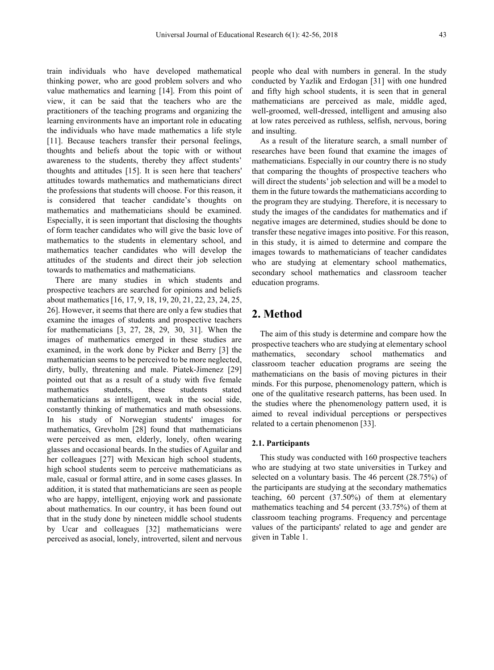train individuals who have developed mathematical thinking power, who are good problem solvers and who value mathematics and learning [14]. From this point of view, it can be said that the teachers who are the practitioners of the teaching programs and organizing the learning environments have an important role in educating the individuals who have made mathematics a life style [11]. Because teachers transfer their personal feelings, thoughts and beliefs about the topic with or without awareness to the students, thereby they affect students' thoughts and attitudes [15]. It is seen here that teachers' attitudes towards mathematics and mathematicians direct the professions that students will choose. For this reason, it is considered that teacher candidate's thoughts on mathematics and mathematicians should be examined. Especially, it is seen important that disclosing the thoughts of form teacher candidates who will give the basic love of mathematics to the students in elementary school, and mathematics teacher candidates who will develop the attitudes of the students and direct their job selection towards to mathematics and mathematicians.

There are many studies in which students and prospective teachers are searched for opinions and beliefs about mathematics [16, 17, 9, 18, 19, 20, 21, 22, 23, 24, 25, 26]. However, it seems that there are only a few studies that examine the images of students and prospective teachers for mathematicians [3, 27, 28, 29, 30, 31]. When the images of mathematics emerged in these studies are examined, in the work done by Picker and Berry [3] the mathematician seems to be perceived to be more neglected, dirty, bully, threatening and male. Piatek-Jimenez [29] pointed out that as a result of a study with five female mathematics students, these students stated mathematicians as intelligent, weak in the social side, constantly thinking of mathematics and math obsessions. In his study of Norwegian students' images for mathematics, Grevholm [28] found that mathematicians were perceived as men, elderly, lonely, often wearing glasses and occasional beards. In the studies of Aguilar and her colleagues [27] with Mexican high school students, high school students seem to perceive mathematicians as male, casual or formal attire, and in some cases glasses. In addition, it is stated that mathematicians are seen as people who are happy, intelligent, enjoying work and passionate about mathematics. In our country, it has been found out that in the study done by nineteen middle school students by Ucar and colleagues [32] mathematicians were perceived as asocial, lonely, introverted, silent and nervous

people who deal with numbers in general. In the study conducted by Yazlik and Erdogan [31] with one hundred and fifty high school students, it is seen that in general mathematicians are perceived as male, middle aged, well-groomed, well-dressed, intelligent and amusing also at low rates perceived as ruthless, selfish, nervous, boring and insulting.

As a result of the literature search, a small number of researches have been found that examine the images of mathematicians. Especially in our country there is no study that comparing the thoughts of prospective teachers who will direct the students' job selection and will be a model to them in the future towards the mathematicians according to the program they are studying. Therefore, it is necessary to study the images of the candidates for mathematics and if negative images are determined, studies should be done to transfer these negative images into positive. For this reason, in this study, it is aimed to determine and compare the images towards to mathematicians of teacher candidates who are studying at elementary school mathematics, secondary school mathematics and classroom teacher education programs.

## **2. Method**

The aim of this study is determine and compare how the prospective teachers who are studying at elementary school mathematics, secondary school mathematics and classroom teacher education programs are seeing the mathematicians on the basis of moving pictures in their minds. For this purpose, phenomenology pattern, which is one of the qualitative research patterns, has been used. In the studies where the phenomenology pattern used, it is aimed to reveal individual perceptions or perspectives related to a certain phenomenon [33].

#### **2.1. Participants**

This study was conducted with 160 prospective teachers who are studying at two state universities in Turkey and selected on a voluntary basis. The 46 percent (28.75%) of the participants are studying at the secondary mathematics teaching, 60 percent (37.50%) of them at elementary mathematics teaching and 54 percent (33.75%) of them at classroom teaching programs. Frequency and percentage values of the participants' related to age and gender are given in Table 1.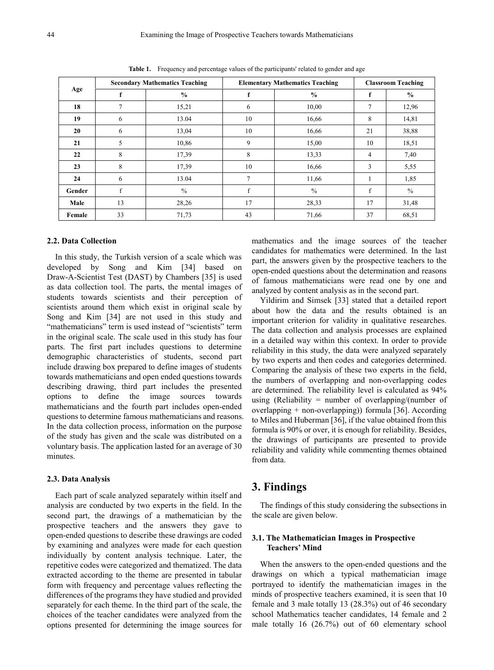|        |                | <b>Secondary Mathematics Teaching</b> |                | <b>Elementary Mathematics Teaching</b> | <b>Classroom Teaching</b> |               |  |
|--------|----------------|---------------------------------------|----------------|----------------------------------------|---------------------------|---------------|--|
| Age    | f              | $\frac{0}{0}$                         | f              | $\frac{0}{0}$                          | f                         | $\frac{0}{0}$ |  |
| 18     | $\overline{7}$ | 15,21                                 | 6              | 10,00                                  | 7                         | 12,96         |  |
| 19     | 6              | 13.04                                 | 10             | 16,66                                  | 8                         | 14,81         |  |
| 20     | 6              | 13,04                                 | 10             | 16,66                                  | 21                        | 38,88         |  |
| 21     | 5              | 10,86                                 | 9              | 15,00                                  | 10                        | 18,51         |  |
| 22     | 8              | 17,39                                 | 8              | 13,33                                  | 4                         | 7,40          |  |
| 23     | 8              | 17,39                                 | 10             | 16,66                                  | 3                         | 5,55          |  |
| 24     | 6              | 13.04                                 | $\overline{7}$ | 11,66                                  |                           | 1,85          |  |
| Gender | f              | $\frac{0}{0}$                         | f              | $\frac{0}{0}$                          | f                         | $\%$          |  |
| Male   | 13             | 28,26                                 | 17             | 28,33                                  | 17                        | 31,48         |  |
| Female | 33             | 71,73                                 | 43             | 71,66                                  | 37                        | 68,51         |  |

**Table 1.** Frequency and percentage values of the participants' related to gender and age

#### **2.2. Data Collection**

In this study, the Turkish version of a scale which was developed by Song and Kim [34] based on Draw-A-Scientist Test (DAST) by Chambers [35] is used as data collection tool. The parts, the mental images of students towards scientists and their perception of scientists around them which exist in original scale by Song and Kim [34] are not used in this study and "mathematicians" term is used instead of "scientists" term in the original scale. The scale used in this study has four parts. The first part includes questions to determine demographic characteristics of students, second part include drawing box prepared to define images of students towards mathematicians and open ended questions towards describing drawing, third part includes the presented options to define the image sources towards mathematicians and the fourth part includes open-ended questions to determine famous mathematicians and reasons. In the data collection process, information on the purpose of the study has given and the scale was distributed on a voluntary basis. The application lasted for an average of 30 minutes.

#### **2.3. Data Analysis**

Each part of scale analyzed separately within itself and analysis are conducted by two experts in the field. In the second part, the drawings of a mathematician by the prospective teachers and the answers they gave to open-ended questions to describe these drawings are coded by examining and analyzes were made for each question individually by content analysis technique. Later, the repetitive codes were categorized and thematized. The data extracted according to the theme are presented in tabular form with frequency and percentage values reflecting the differences of the programs they have studied and provided separately for each theme. In the third part of the scale, the choices of the teacher candidates were analyzed from the options presented for determining the image sources for

mathematics and the image sources of the teacher candidates for mathematics were determined. In the last part, the answers given by the prospective teachers to the open-ended questions about the determination and reasons of famous mathematicians were read one by one and analyzed by content analysis as in the second part.

Yildirim and Simsek [33] stated that a detailed report about how the data and the results obtained is an important criterion for validity in qualitative researches. The data collection and analysis processes are explained in a detailed way within this context. In order to provide reliability in this study, the data were analyzed separately by two experts and then codes and categories determined. Comparing the analysis of these two experts in the field, the numbers of overlapping and non-overlapping codes are determined. The reliability level is calculated as 94% using (Reliability = number of overlapping/(number of overlapping + non-overlapping)) formula [36]. According to Miles and Huberman [36], if the value obtained from this formula is 90% or over, it is enough for reliability. Besides, the drawings of participants are presented to provide reliability and validity while commenting themes obtained from data.

## **3. Findings**

The findings of this study considering the subsections in the scale are given below.

#### **3.1. The Mathematician Images in Prospective Teachers' Mind**

When the answers to the open-ended questions and the drawings on which a typical mathematician image portrayed to identify the mathematician images in the minds of prospective teachers examined, it is seen that 10 female and 3 male totally 13 (28.3%) out of 46 secondary school Mathematics teacher candidates, 14 female and 2 male totally 16 (26.7%) out of 60 elementary school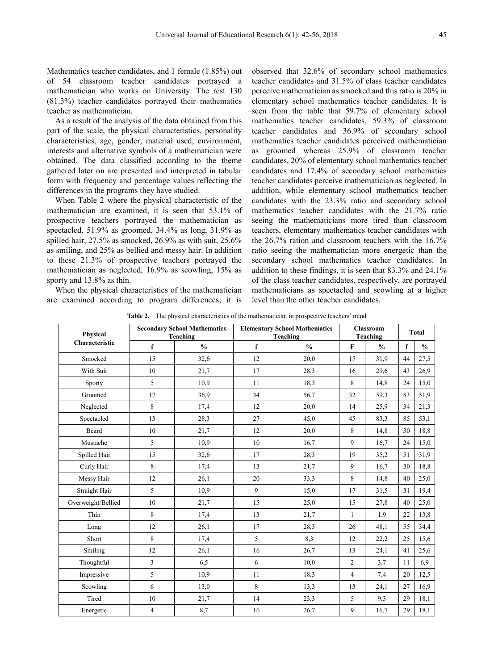Mathematics teacher candidates, and 1 female (1.85%) out of 54 classroom teacher candidates portrayed a mathematician who works on University. The rest 130 (81.3%) teacher candidates portrayed their mathematics teacher as mathematician.

As a result of the analysis of the data obtained from this part of the scale, the physical characteristics, personality characteristics, age, gender, material used, environment, interests and alternative symbols of a mathematician were obtained. The data classified according to the theme gathered later on are presented and interpreted in tabular form with frequency and percentage values reflecting the differences in the programs they have studied.

When Table 2 where the physical characteristic of the mathematician are examined, it is seen that 53.1% of prospective teachers portrayed the mathematician as spectacled, 51.9% as groomed, 34.4% as long, 31.9% as spilled hair, 27.5% as smocked, 26.9% as with suit, 25.6% as smiling, and 25% as bellied and messy hair. In addition to these 21.3% of prospective teachers portrayed the mathematician as neglected, 16.9% as scowling, 15% as sporty and 13.8% as thin.

When the physical characteristics of the mathematician are examined according to program differences; it is

observed that 32.6% of secondary school mathematics teacher candidates and 31.5% of class teacher candidates perceive mathematician as smocked and this ratio is 20% in elementary school mathematics teacher candidates. It is seen from the table that 59.7% of elementary school mathematics teacher candidates, 59.3% of classroom teacher candidates and 36.9% of secondary school mathematics teacher candidates perceived mathematician as groomed whereas 25.9% of classroom teacher candidates, 20% of elementary school mathematics teacher candidates and 17.4% of secondary school mathematics teacher candidates perceive mathematician as neglected. In addition, while elementary school mathematics teacher candidates with the 23.3% ratio and secondary school mathematics teacher candidates with the 21.7% ratio seeing the mathematicians more tired than classroom teachers, elementary mathematics teacher candidates with the 26.7% ration and classroom teachers with the 16.7% ratio seeing the mathematician more energetic than the secondary school mathematics teacher candidates. In addition to these findings, it is seen that 83.3% and 24.1% of the class teacher candidates, respectively, are portrayed mathematicians as spectacled and scowling at a higher level than the other teacher candidates.

**Table 2.** The physical characteristics of the mathematician in prospective teachers' mind

| Physical           |                | <b>Secondary School Mathematics</b><br><b>Teaching</b> |             | <b>Elementary School Mathematics</b><br>Teaching | <b>Classroom</b><br>Teaching | <b>Total</b>  |    |               |
|--------------------|----------------|--------------------------------------------------------|-------------|--------------------------------------------------|------------------------------|---------------|----|---------------|
| Characteristic     | $\mathbf f$    | $\frac{0}{0}$                                          | $\mathbf f$ | $\frac{0}{0}$                                    | $\mathbf F$                  | $\frac{0}{0}$ | f  | $\frac{0}{0}$ |
| Smocked            | 15             | 32,6                                                   | 12          | 20,0                                             | 17                           | 31,9          | 44 | 27,5          |
| With Suit          | 10             | 21,7                                                   | 17          | 28,3                                             | 16                           | 29,6          | 43 | 26,9          |
| Sporty             | 5              | 10,9                                                   | 11          | 18,3                                             | 8                            | 14,8          | 24 | 15,0          |
| Groomed            | 17             | 36,9                                                   | 34          | 56,7                                             | 32                           | 59,3          | 83 | 51,9          |
| Neglected          | 8              | 17,4                                                   | 12          | 20,0                                             | 14                           | 25,9          | 34 | 21,3          |
| Spectacled         | 13             | 28,3                                                   | 27          | 45,0                                             | 45                           | 83,3          | 85 | 53,1          |
| Beard              | 10             | 21,7                                                   | 12          | 20,0                                             | 8                            | 14,8          | 30 | 18,8          |
| Mustache           | 5              | 10,9                                                   | 10          | 16,7                                             | 9                            | 16,7          | 24 | 15,0          |
| Spilled Hair       | 15             | 32,6                                                   | 17          | 28,3                                             | 19                           | 35,2          | 51 | 31,9          |
| Curly Hair         | $\,8\,$        | 17,4                                                   | 13          | 21,7                                             | 9                            | 16,7          | 30 | 18,8          |
| Messy Hair         | 12             | 26,1                                                   | 20          | 33,3                                             | 8                            | 14,8          | 40 | 25,0          |
| Straight Hair      | 5              | 10,9                                                   | 9           | 15,0                                             | 17                           | 31,5          | 31 | 19,4          |
| Overweight/Bellied | 10             | 21,7                                                   | 15          | 25,0                                             | 15                           | 27,8          | 40 | 25,0          |
| Thin               | $\,8\,$        | 17,4                                                   | 13          | 21,7                                             | $\mathbf{1}$                 | 1,9           | 22 | 13,8          |
| Long               | 12             | 26,1                                                   | 17          | 28,3                                             | 26                           | 48,1          | 55 | 34,4          |
| Short              | $\,8\,$        | 17,4                                                   | 5           | 8,3                                              | 12                           | 22,2          | 25 | 15,6          |
| Smiling            | 12             | 26,1                                                   | 16          | 26,7                                             | 13                           | 24,1          | 41 | 25,6          |
| Thoughtful         | 3              | 6,5                                                    | 6           | 10,0                                             | $\overline{c}$               | 3,7           | 11 | 6,9           |
| Impressive         | 5              | 10,9                                                   | 11          | 18.3                                             | $\overline{4}$               | 7,4           | 20 | 12,5          |
| Scowling           | 6              | 13,0                                                   | 8           | 13,3                                             | 13                           | 24,1          | 27 | 16,9          |
| Tired              | 10             | 21,7                                                   | 14          | 23,3                                             | 5                            | 9,3           | 29 | 18,1          |
| Energetic          | $\overline{4}$ | 8,7                                                    | 16          | 26,7                                             | 9                            | 16,7          | 29 | 18,1          |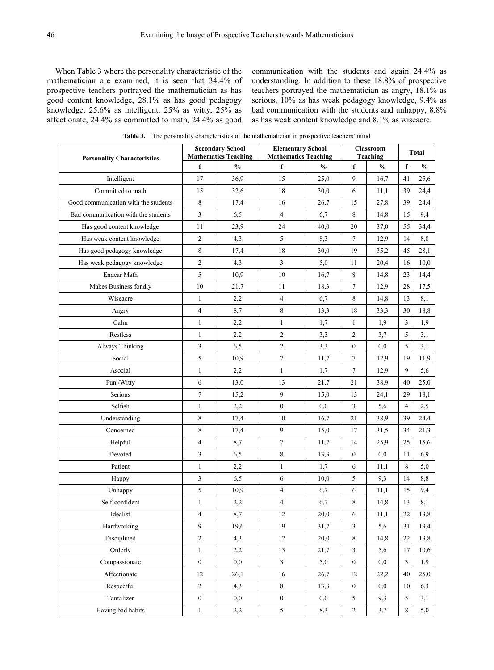When Table 3 where the personality characteristic of the mathematician are examined, it is seen that 34.4% of prospective teachers portrayed the mathematician as has good content knowledge, 28.1% as has good pedagogy knowledge, 25.6% as intelligent, 25% as witty, 25% as affectionate, 24.4% as committed to math, 24.4% as good

communication with the students and again 24.4% as understanding. In addition to these 18.8% of prospective teachers portrayed the mathematician as angry, 18.1% as serious, 10% as has weak pedagogy knowledge, 9.4% as bad communication with the students and unhappy, 8.8% as has weak content knowledge and 8.1% as wiseacre.

|                                      |                  | <b>Secondary School</b>     | <b>Elementary School</b><br>Classroom | <b>Total</b>  |                  |               |                |               |
|--------------------------------------|------------------|-----------------------------|---------------------------------------|---------------|------------------|---------------|----------------|---------------|
| <b>Personality Characteristics</b>   |                  | <b>Mathematics Teaching</b> | <b>Mathematics Teaching</b>           |               |                  | Teaching      |                |               |
|                                      | f                | $\frac{0}{0}$               | f                                     | $\frac{0}{0}$ | $\mathbf f$      | $\frac{0}{0}$ | f              | $\frac{0}{0}$ |
| Intelligent                          | 17               | 36,9                        | 15                                    | 25,0          | 9                | 16,7          | 41             | 25,6          |
| Committed to math                    | 15               | 32,6                        | 18                                    | 30,0          | 6                | 11,1          | 39             | 24,4          |
| Good communication with the students | 8                | 17,4                        | 16                                    | 26,7          | 15               | 27,8          | 39             | 24,4          |
| Bad communication with the students  | 3                | 6,5                         | 4                                     | 6,7           | 8                | 14,8          | 15             | 9,4           |
| Has good content knowledge           | 11               | 23,9                        | 24                                    | 40,0          | $20\,$           | 37,0          | 55             | 34,4          |
| Has weak content knowledge           | $\overline{c}$   | 4,3                         | 5                                     | 8,3           | $7\phantom{.0}$  | 12,9          | 14             | 8,8           |
| Has good pedagogy knowledge          | 8                | 17,4                        | 18                                    | 30,0          | 19               | 35,2          | 45             | 28,1          |
| Has weak pedagogy knowledge          | $\overline{2}$   | 4,3                         | 3                                     | 5,0           | 11               | 20,4          | 16             | 10,0          |
| Endear Math                          | 5                | 10,9                        | 10                                    | 16,7          | 8                | 14,8          | 23             | 14,4          |
| Makes Business fondly                | 10               | 21,7                        | 11                                    | 18,3          | $7\phantom{.0}$  | 12,9          | 28             | 17,5          |
| Wiseacre                             | $\mathbf{1}$     | 2,2                         | $\overline{\mathbf{4}}$               | 6,7           | $\,8\,$          | 14,8          | 13             | 8,1           |
| Angry                                | 4                | 8,7                         | 8                                     | 13,3          | 18               | 33,3          | 30             | 18,8          |
| Calm                                 | $\mathbf{1}$     | 2,2                         | $\mathbf{1}$                          | 1,7           | $\mathbf{1}$     | 1,9           | $\mathfrak{Z}$ | 1,9           |
| Restless                             | $\mathbf{1}$     | 2,2                         | $\overline{c}$                        | 3,3           | $\overline{c}$   | 3,7           | 5              | 3,1           |
| Always Thinking                      | 3                | 6,5                         | $\overline{c}$                        | 3,3           | $\boldsymbol{0}$ | 0,0           | 5              | 3,1           |
| Social                               | 5                | 10,9                        | $\boldsymbol{7}$                      | 11,7          | $7\phantom{.0}$  | 12,9          | 19             | 11,9          |
| Asocial                              | $\mathbf{1}$     | 2,2                         | $\mathbf{1}$                          | 1,7           | $\tau$           | 12,9          | 9              | 5,6           |
| Fun /Witty                           | 6                | 13,0                        | 13                                    | 21,7          | 21               | 38,9          | 40             | 25,0          |
| Serious                              | 7                | 15,2                        | 9                                     | 15,0          | 13               | 24,1          | 29             | 18,1          |
| Selfish                              | $\mathbf{1}$     | 2,2                         | $\boldsymbol{0}$                      | 0,0           | $\mathfrak{Z}$   | 5,6           | $\overline{4}$ | 2,5           |
| Understanding                        | 8                | 17,4                        | 10                                    | 16,7          | 21               | 38,9          | 39             | 24,4          |
| Concerned                            | 8                | 17,4                        | 9                                     | 15,0          | 17               | 31,5          | 34             | 21,3          |
| Helpful                              | 4                | 8,7                         | $\tau$                                | 11,7          | 14               | 25,9          | 25             | 15,6          |
| Devoted                              | 3                | 6,5                         | 8                                     | 13,3          | $\boldsymbol{0}$ | 0,0           | 11             | 6,9           |
| Patient                              | $\mathbf{1}$     | 2,2                         | $\mathbf{1}$                          | 1,7           | 6                | 11,1          | 8              | 5,0           |
| Happy                                | 3                | 6,5                         | 6                                     | 10,0          | 5                | 9,3           | 14             | 8,8           |
| Unhappy                              | 5                | 10,9                        | $\overline{\mathcal{L}}$              | 6,7           | 6                | 11,1          | 15             | 9,4           |
| Self-confident                       | $\mathbf{1}$     | 2,2                         | $\overline{\mathcal{L}}$              | 6,7           | 8                | 14,8          | 13             | 8,1           |
| Idealist                             | 4                | 8,7                         | 12                                    | 20,0          | 6                | 11,1          | 22             | 13,8          |
| Hardworking                          | 9                | 19,6                        | 19                                    | 31,7          | $\mathfrak{Z}$   | 5,6           | 31             | 19,4          |
| Disciplined                          | $\overline{c}$   | 4,3                         | $12\,$                                | 20,0          | $\,8\,$          | 14,8          | 22             | 13,8          |
| Orderly                              | $\mathbf{1}$     | 2,2                         | 13                                    | 21,7          | $\mathfrak{Z}$   | 5,6           | 17             | 10,6          |
| Compassionate                        | $\boldsymbol{0}$ | 0,0                         | $\overline{\mathbf{3}}$               | 5,0           | $\boldsymbol{0}$ | 0,0           | $\mathfrak{Z}$ | 1,9           |
| Affectionate                         | 12               | 26,1                        | 16                                    | 26,7          | 12               | 22,2          | 40             | 25,0          |
| Respectful                           | $\overline{c}$   | 4,3                         | 8                                     | 13,3          | $\boldsymbol{0}$ | 0,0           | 10             | 6,3           |
| Tantalizer                           | $\boldsymbol{0}$ | 0,0                         | $\boldsymbol{0}$                      | 0,0           | $\sqrt{5}$       | 9,3           | 5              | 3,1           |
| Having bad habits                    | $\mathbf{1}$     | 2,2                         | 5                                     | 8,3           | $\sqrt{2}$       | 3,7           | $\,8\,$        | 5,0           |

**Table 3.** The personality characteristics of the mathematician in prospective teachers' mind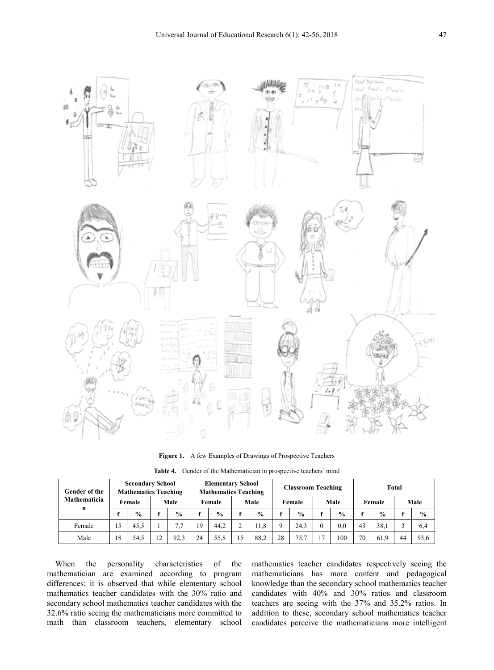

**Figure 1.** A few Examples of Drawings of Prospective Teachers

**Table 4.** Gender of the Mathematician in prospective teachers' mind

| Gender of the<br><b>Mathematicia</b><br>n |    | <b>Secondary School</b><br><b>Mathematics Teaching</b> |  |               | <b>Elementary School</b><br><b>Mathematics Teaching</b> |               |    | <b>Classroom Teaching</b> |        |               |      | Total         |        |               |      |               |
|-------------------------------------------|----|--------------------------------------------------------|--|---------------|---------------------------------------------------------|---------------|----|---------------------------|--------|---------------|------|---------------|--------|---------------|------|---------------|
|                                           |    | Female                                                 |  | Male          |                                                         | Female        |    | Male                      | Female |               | Male |               | Female |               | Male |               |
|                                           |    | $\frac{0}{0}$                                          |  | $\frac{0}{0}$ |                                                         | $\frac{6}{9}$ |    | $\frac{6}{9}$             |        | $\frac{6}{9}$ |      | $\frac{0}{0}$ |        | $\frac{6}{9}$ |      | $\frac{0}{0}$ |
| Female                                    | 15 | 45.5                                                   |  |               | 19                                                      | 44.2          |    | 1.8                       | O.     | 24.3          |      | 0.0           | 43     | 38.1          |      | 6,4           |
| Male                                      | 18 | 54,5                                                   |  | 92.3          | 24                                                      | 55.8          | 15 | 88.2                      | 28     | 75.7          | 17   | 100           | 70     | 61.9          | 44   | 93.6          |

When the personality characteristics of the mathematician are examined according to program differences; it is observed that while elementary school mathematics teacher candidates with the 30% ratio and secondary school mathematics teacher candidates with the 32.6% ratio seeing the mathematicians more committed to math than classroom teachers, elementary school

mathematics teacher candidates respectively seeing the mathematicians has more content and pedagogical knowledge than the secondary school mathematics teacher candidates with 40% and 30% ratios and classroom teachers are seeing with the 37% and 35.2% ratios. In addition to these, secondary school mathematics teacher candidates perceive the mathematicians more intelligent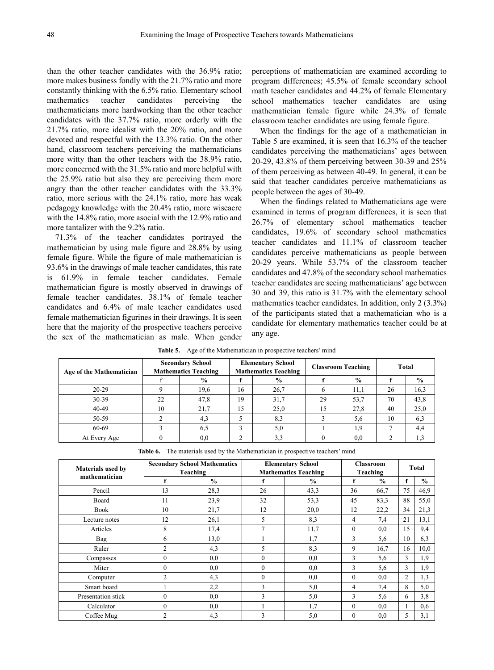than the other teacher candidates with the 36.9% ratio; more makes business fondly with the 21.7% ratio and more constantly thinking with the 6.5% ratio. Elementary school mathematics teacher candidates perceiving the mathematicians more hardworking than the other teacher candidates with the 37.7% ratio, more orderly with the 21.7% ratio, more idealist with the 20% ratio, and more devoted and respectful with the 13.3% ratio. On the other hand, classroom teachers perceiving the mathematicians more witty than the other teachers with the 38.9% ratio, more concerned with the 31.5% ratio and more helpful with the 25.9% ratio but also they are perceiving them more angry than the other teacher candidates with the 33.3% ratio, more serious with the 24.1% ratio, more has weak pedagogy knowledge with the 20.4% ratio, more wiseacre with the 14.8% ratio, more asocial with the 12.9% ratio and more tantalizer with the 9.2% ratio.

71.3% of the teacher candidates portrayed the mathematician by using male figure and 28.8% by using female figure. While the figure of male mathematician is 93.6% in the drawings of male teacher candidates, this rate is 61.9% in female teacher candidates. Female mathematician figure is mostly observed in drawings of female teacher candidates. 38.1% of female teacher candidates and 6.4% of male teacher candidates used female mathematician figurines in their drawings. It is seen here that the majority of the prospective teachers perceive the sex of the mathematician as male. When gender

perceptions of mathematician are examined according to program differences; 45.5% of female secondary school math teacher candidates and 44.2% of female Elementary school mathematics teacher candidates are using mathematician female figure while 24.3% of female classroom teacher candidates are using female figure.

When the findings for the age of a mathematician in Table 5 are examined, it is seen that 16.3% of the teacher candidates perceiving the mathematicians' ages between 20-29, 43.8% of them perceiving between 30-39 and 25% of them perceiving as between 40-49. In general, it can be said that teacher candidates perceive mathematicians as people between the ages of 30-49.

When the findings related to Mathematicians age were examined in terms of program differences, it is seen that 26.7% of elementary school mathematics teacher candidates, 19.6% of secondary school mathematics teacher candidates and 11.1% of classroom teacher candidates perceive mathematicians as people between 20-29 years. While 53.7% of the classroom teacher candidates and 47.8% of the secondary school mathematics teacher candidates are seeing mathematicians' age between 30 and 39, this ratio is 31.7% with the elementary school mathematics teacher candidates. In addition, only 2 (3.3%) of the participants stated that a mathematician who is a candidate for elementary mathematics teacher could be at any age.

| Age of the Mathematician |    | <b>Secondary School</b><br><b>Mathematics Teaching</b> |    | <b>Elementary School</b><br><b>Mathematics Teaching</b> |    | <b>Classroom Teaching</b> | Total |               |  |
|--------------------------|----|--------------------------------------------------------|----|---------------------------------------------------------|----|---------------------------|-------|---------------|--|
|                          |    | $\%$                                                   |    | $\frac{0}{0}$                                           |    | $\frac{0}{0}$             |       | $\frac{0}{0}$ |  |
| $20-29$                  |    | 19,6                                                   | 16 | 26,7                                                    |    | 11,1                      | 26    | 16,3          |  |
| 30-39                    | 22 | 47,8                                                   | 19 | 31,7                                                    | 29 | 53,7                      | 70    | 43,8          |  |
| 40-49                    | 10 | 21,7                                                   | 15 | 25,0                                                    | 15 | 27,8                      | 40    | 25,0          |  |
| 50-59                    |    | 4,3                                                    |    | 8.3                                                     |    | 5,6                       | 10    | 6,3           |  |
| 60-69                    |    | 6.5                                                    |    | 5,0                                                     |    | 1.9.                      |       | 4,4           |  |
| At Every Age             |    | 0,0                                                    |    | 3,3                                                     |    | 0,0                       |       | 1,3           |  |

**Table 5.** Age of the Mathematician in prospective teachers' mind

**Table 6.** The materials used by the Mathematician in prospective teachers' mind

| <b>Materials used by</b> |                | <b>Secondary School Mathematics</b><br>Teaching |                | <b>Elementary School</b><br><b>Mathematics Teaching</b> |                |               | Total |               |
|--------------------------|----------------|-------------------------------------------------|----------------|---------------------------------------------------------|----------------|---------------|-------|---------------|
| mathematician            | f              | $\frac{0}{0}$                                   | f              | $\frac{0}{0}$                                           | f              | $\frac{0}{0}$ | f     | $\frac{0}{0}$ |
| Pencil                   | 13             | 28,3                                            | 26             | 43,3                                                    | 36             | 66,7          | 75    | 46,9          |
| Board                    | 11             | 23,9                                            | 32             | 53,3                                                    | 45             | 83,3          | 88    | 55,0          |
| <b>Book</b>              | 10             | 21,7                                            | 12             | 20,0                                                    | 12             | 22,2          | 34    | 21,3          |
| Lecture notes            | 12             | 26,1                                            | 5              | 8,3                                                     | 4              | 7,4           | 21    | 13,1          |
| Articles                 | 8              | 17,4                                            | $\overline{7}$ | 11,7                                                    | $\theta$       | 0.0           | 15    | 9,4           |
| Bag                      | 6              | 13,0                                            |                | 1,7                                                     | 3              | 5,6           | 10    | 6,3           |
| Ruler                    | $\overline{2}$ | 4,3                                             | 5              | 8,3                                                     | 9              | 16,7          | 16    | 10,0          |
| Compasses                | $\theta$       | 0.0                                             | $\mathbf{0}$   | 0.0                                                     | 3              | 5,6           | 3     | 1,9           |
| Miter                    | $\theta$       | 0,0                                             | $\theta$       | 0,0                                                     | 3              | 5,6           | 3     | 1,9           |
| Computer                 | $\overline{c}$ | 4,3                                             | $\mathbf{0}$   | 0,0                                                     | $\theta$       | 0,0           | 2     | 1,3           |
| Smart board              |                | 2,2                                             | 3              | 5,0                                                     | $\overline{4}$ | 7,4           | 8     | 5,0           |
| Presentation stick       | $\theta$       | 0,0                                             | 3              | 5,0                                                     | 3              | 5,6           | 6     | 3,8           |
| Calculator               | $\theta$       | 0,0                                             |                | 1.7                                                     | $\theta$       | 0.0           |       | 0,6           |
| Coffee Mug               | $\mathfrak{D}$ | 4,3                                             | 3              | 5,0                                                     | $\theta$       | 0,0           | 5     | 3,1           |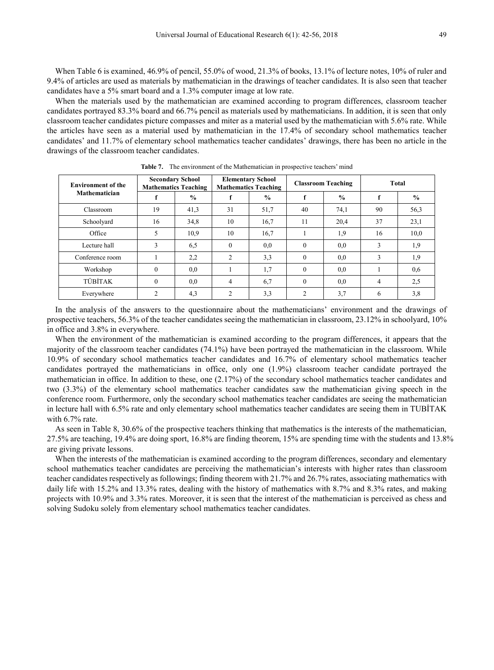When Table 6 is examined, 46.9% of pencil, 55.0% of wood, 21.3% of books, 13.1% of lecture notes, 10% of ruler and 9.4% of articles are used as materials by mathematician in the drawings of teacher candidates. It is also seen that teacher candidates have a 5% smart board and a 1.3% computer image at low rate.

When the materials used by the mathematician are examined according to program differences, classroom teacher candidates portrayed 83.3% board and 66.7% pencil as materials used by mathematicians. In addition, it is seen that only classroom teacher candidates picture compasses and miter as a material used by the mathematician with 5.6% rate. While the articles have seen as a material used by mathematician in the 17.4% of secondary school mathematics teacher candidates' and 11.7% of elementary school mathematics teacher candidates' drawings, there has been no article in the drawings of the classroom teacher candidates.

| <b>Environment of the</b><br><b>Mathematician</b> | <b>Secondary School</b><br><b>Mathematics Teaching</b> |               |                | <b>Elementary School</b><br><b>Mathematics Teaching</b> |                | <b>Classroom Teaching</b> | Total |               |  |
|---------------------------------------------------|--------------------------------------------------------|---------------|----------------|---------------------------------------------------------|----------------|---------------------------|-------|---------------|--|
|                                                   |                                                        | $\frac{0}{0}$ |                | $\frac{0}{0}$                                           |                | $\frac{0}{0}$             |       | $\frac{0}{0}$ |  |
| Classroom                                         | 19                                                     | 41,3          | 31             | 51,7                                                    | 40             | 74,1                      | 90    | 56,3          |  |
| Schoolyard                                        | 16                                                     | 34,8          | 10             | 16.7                                                    | 11             | 20,4                      | 37    | 23,1          |  |
| Office                                            | 5                                                      | 10.9          | 10             | 16,7                                                    |                | 1,9                       | 16    | 10,0          |  |
| Lecture hall                                      | 3                                                      | 6,5           | $\theta$       | 0.0                                                     | $\Omega$       | 0.0                       | 3     | 1,9           |  |
| Conference room                                   |                                                        | 2,2           | 2              | 3,3                                                     | $\theta$       | 0.0                       | 3     | 1,9           |  |
| Workshop                                          | $\Omega$                                               | 0.0           |                | 1,7                                                     | $\theta$       | 0.0                       |       | 0.6           |  |
| <b>TÜBİTAK</b>                                    | $\theta$                                               | 0,0           | 4              | 6,7                                                     | $\Omega$       | 0.0                       | 4     | 2,5           |  |
| Everywhere                                        | $\mathfrak{D}$                                         | 4,3           | $\mathfrak{D}$ | 3,3                                                     | $\mathfrak{D}$ | 3,7                       | 6     | 3,8           |  |

**Table 7.** The environment of the Mathematician in prospective teachers' mind

In the analysis of the answers to the questionnaire about the mathematicians' environment and the drawings of prospective teachers, 56.3% of the teacher candidates seeing the mathematician in classroom, 23.12% in schoolyard, 10% in office and 3.8% in everywhere.

When the environment of the mathematician is examined according to the program differences, it appears that the majority of the classroom teacher candidates (74.1%) have been portrayed the mathematician in the classroom. While 10.9% of secondary school mathematics teacher candidates and 16.7% of elementary school mathematics teacher candidates portrayed the mathematicians in office, only one (1.9%) classroom teacher candidate portrayed the mathematician in office. In addition to these, one (2.17%) of the secondary school mathematics teacher candidates and two (3.3%) of the elementary school mathematics teacher candidates saw the mathematician giving speech in the conference room. Furthermore, only the secondary school mathematics teacher candidates are seeing the mathematician in lecture hall with 6.5% rate and only elementary school mathematics teacher candidates are seeing them in TUBİTAK with 6.7% rate.

As seen in Table 8, 30.6% of the prospective teachers thinking that mathematics is the interests of the mathematician, 27.5% are teaching, 19.4% are doing sport, 16.8% are finding theorem, 15% are spending time with the students and 13.8% are giving private lessons.

When the interests of the mathematician is examined according to the program differences, secondary and elementary school mathematics teacher candidates are perceiving the mathematician's interests with higher rates than classroom teacher candidates respectively as followings; finding theorem with 21.7% and 26.7% rates, associating mathematics with daily life with 15.2% and 13.3% rates, dealing with the history of mathematics with 8.7% and 8.3% rates, and making projects with 10.9% and 3.3% rates. Moreover, it is seen that the interest of the mathematician is perceived as chess and solving Sudoku solely from elementary school mathematics teacher candidates.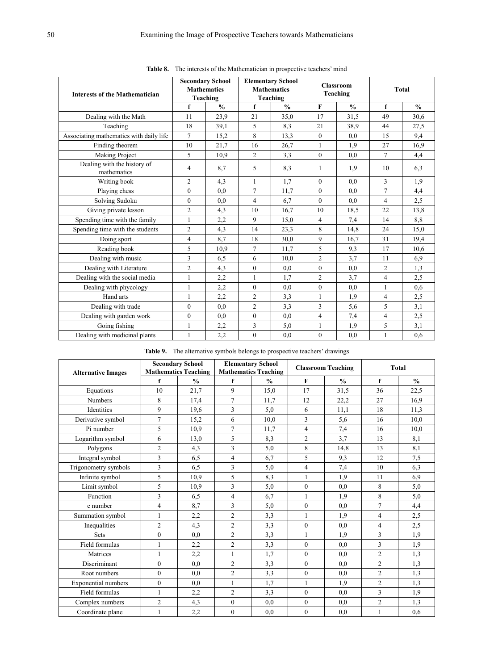| <b>Interests of the Mathematician</b>      |                | <b>Secondary School</b><br><b>Mathematics</b><br>Teaching |                | <b>Elementary School</b><br><b>Mathematics</b><br>Teaching |                | <b>Classroom</b><br>Teaching | <b>Total</b>   |               |  |
|--------------------------------------------|----------------|-----------------------------------------------------------|----------------|------------------------------------------------------------|----------------|------------------------------|----------------|---------------|--|
|                                            | f              | $\frac{0}{0}$                                             | f              | $\frac{0}{0}$                                              | F              | $\frac{0}{0}$                | f              | $\frac{0}{0}$ |  |
| Dealing with the Math                      | 11             | 23,9                                                      | 21             | 35,0                                                       | 17             | 31,5                         | 49             | 30,6          |  |
| Teaching                                   | 18             | 39,1                                                      | 5              | 8,3                                                        | 21             | 38.9                         | 44             | 27,5          |  |
| Associating mathematics with daily life    | $\tau$         | 15,2                                                      | 8              | 13,3                                                       | $\overline{0}$ | 0,0                          | 15             | 9,4           |  |
| Finding theorem                            | 10             | 21,7                                                      | 16             | 26,7                                                       | $\mathbf{1}$   | 1.9                          | 27             | 16,9          |  |
| Making Project                             | 5              | 10.9                                                      | $\overline{2}$ | 3,3                                                        | $\Omega$       | 0.0                          | $\overline{7}$ | 4,4           |  |
| Dealing with the history of<br>mathematics | 4              | 8,7                                                       | 5              | 8,3                                                        | 1              | 1.9                          | 10             | 6,3           |  |
| Writing book                               | $\overline{c}$ | 4,3                                                       | 1              | 1,7                                                        | $\overline{0}$ | 0,0                          | 3              | 1,9           |  |
| Playing chess                              | $\theta$       | 0.0                                                       | $\overline{7}$ | 11,7                                                       | $\mathbf{0}$   | 0.0                          | $\overline{7}$ | 4,4           |  |
| Solving Sudoku                             | $\mathbf{0}$   | 0,0                                                       | $\overline{4}$ | 6,7                                                        | $\theta$       | 0.0                          | $\overline{4}$ | 2,5           |  |
| Giving private lesson                      | $\overline{2}$ | 4,3                                                       | 10             | 16,7                                                       | 10             | 18,5                         | 22             | 13,8          |  |
| Spending time with the family              | 1              | 2,2                                                       | 9              | 15,0                                                       | 4              | 7,4                          | 14             | 8,8           |  |
| Spending time with the students            | $\overline{2}$ | 4,3                                                       | 14             | 23,3                                                       | 8              | 14,8                         | 24             | 15,0          |  |
| Doing sport                                | $\overline{4}$ | 8,7                                                       | 18             | 30,0                                                       | 9              | 16,7                         | 31             | 19,4          |  |
| Reading book                               | 5              | 10.9                                                      | 7              | 11,7                                                       | 5              | 9,3                          | 17             | 10,6          |  |
| Dealing with music                         | 3              | 6,5                                                       | 6              | 10,0                                                       | $\overline{c}$ | 3.7                          | 11             | 6.9           |  |
| Dealing with Literature                    | $\overline{2}$ | 4,3                                                       | $\mathbf{0}$   | 0,0                                                        | $\mathbf{0}$   | 0,0                          | $\overline{2}$ | 1,3           |  |
| Dealing with the social media              | 1              | 2,2                                                       | 1              | 1.7                                                        | $\overline{c}$ | 3,7                          | $\overline{4}$ | 2,5           |  |
| Dealing with phycology                     | 1              | 2,2                                                       | $\theta$       | 0,0                                                        | $\overline{0}$ | 0,0                          | 1              | 0,6           |  |
| Hand arts                                  | 1              | 2,2                                                       | $\overline{c}$ | 3,3                                                        | 1              | 1,9                          | 4              | 2,5           |  |
| Dealing with trade                         | $\theta$       | 0.0                                                       | $\overline{c}$ | 3.3                                                        | 3              | 5,6                          | 5              | 3,1           |  |
| Dealing with garden work                   | $\mathbf{0}$   | 0,0                                                       | $\mathbf{0}$   | 0,0                                                        | 4              | 7,4                          | $\overline{4}$ | 2,5           |  |
| Going fishing                              | 1              | 2,2                                                       | 3              | 5,0                                                        | 1              | 1,9                          | 5              | 3,1           |  |
| Dealing with medicinal plants              | 1              | 2,2                                                       | $\mathbf{0}$   | 0.0                                                        | $\overline{0}$ | 0.0                          | 1              | 0.6           |  |

**Table 8.** The interests of the Mathematician in prospective teachers' mind

**Table 9.** The alternative symbols belongs to prospective teachers' drawings

|                           |                | <b>Secondary School</b>                      |                | <b>Elementary School</b>                     |                | <b>Classroom Teaching</b> | <b>Total</b>   |               |  |
|---------------------------|----------------|----------------------------------------------|----------------|----------------------------------------------|----------------|---------------------------|----------------|---------------|--|
| <b>Alternative Images</b> | f              | <b>Mathematics Teaching</b><br>$\frac{0}{0}$ | f              | <b>Mathematics Teaching</b><br>$\frac{0}{0}$ | F              | $\frac{0}{0}$             | f              | $\frac{0}{0}$ |  |
| Equations                 | 10             | 21,7                                         | 9              | 15,0                                         | 17             | 31,5                      | 36             | 22,5          |  |
| <b>Numbers</b>            | 8              | 17,4                                         | $\overline{7}$ | 11,7                                         | 12             |                           | 27             | 16,9          |  |
|                           |                |                                              |                |                                              |                | 22,2                      |                |               |  |
| Identities                | 9              | 19,6                                         | 3              | 5,0                                          | 6              | 11,1                      | 18             | 11,3          |  |
| Derivative symbol         | $\overline{7}$ | 15,2                                         | 6              | 10,0                                         | 3              | 5,6                       | 16             | 10,0          |  |
| Pi number                 | 5              | 10.9                                         | $\overline{7}$ | 11,7                                         | $\overline{4}$ | 7,4                       | 16             | 10,0          |  |
| Logarithm symbol          | 6              | 13,0                                         | 5              | 8,3                                          | $\overline{2}$ | 3,7                       | 13             | 8,1           |  |
| Polygons                  | $\overline{2}$ | 4,3                                          | 3              | 5,0                                          | 8              | 14,8                      | 13             | 8,1           |  |
| Integral symbol           | 3              | 6,5                                          | 4              | 6,7                                          | 5              | 9,3                       | 12             | 7,5           |  |
| Trigonometry symbols      | $\overline{3}$ | 6,5                                          | 3              | 5,0                                          | $\overline{4}$ | 7,4                       | 10             | 6,3           |  |
| Infinite symbol           | 5              | 10.9                                         | 5              | 8,3                                          | 1              | 1.9                       | 11             | 6.9           |  |
| Limit symbol              | 5              | 10.9                                         | 3              | 5,0                                          | $\mathbf{0}$   | 0.0                       | 8              | 5,0           |  |
| Function                  | 3              | 6,5                                          | 4              | 6,7                                          | 1              | 1,9                       | 8              | 5,0           |  |
| e number                  | $\overline{4}$ | 8,7                                          | 3              | 5,0                                          | $\theta$       | 0,0                       | $\overline{7}$ | 4,4           |  |
| Summation symbol          | 1              | 2,2                                          | $\overline{2}$ | 3,3                                          | $\mathbf{1}$   | 1.9                       | $\overline{4}$ | 2,5           |  |
| Inequalities              | $\overline{2}$ | 4,3                                          | $\overline{2}$ | 3,3                                          | $\theta$       | 0,0                       | $\overline{4}$ | 2.5           |  |
| <b>Sets</b>               | $\mathbf{0}$   | 0.0                                          | $\overline{2}$ | 3,3                                          | 1              | 1.9                       | 3              | 1,9           |  |
| Field formulas            | $\mathbf{1}$   | 2,2                                          | $\mathfrak{2}$ | 3,3                                          | $\theta$       | 0,0                       | 3              | 1,9           |  |
| Matrices                  |                | 2,2                                          | 1              | 1,7                                          | $\theta$       | 0.0                       | $\overline{c}$ | 1.3           |  |
| Discriminant              | $\mathbf{0}$   | 0.0                                          | $\mathfrak{2}$ | 3,3                                          | $\theta$       | 0.0                       | $\overline{2}$ | 1,3           |  |
| Root numbers              | $\theta$       | 0.0                                          | $\overline{2}$ | 3,3                                          | $\theta$       | 0,0                       | $\overline{2}$ | 1.3           |  |
| Exponential numbers       | $\mathbf{0}$   | 0.0                                          | 1              | 1,7                                          | 1              | 1,9                       | $\overline{2}$ | 1.3           |  |
| Field formulas            | 1              | 2,2                                          | $\sqrt{2}$     | 3,3                                          | $\mathbf{0}$   | 0,0                       | 3              | 1,9           |  |
| Complex numbers           | $\overline{2}$ | 4,3                                          | $\mathbf{0}$   | 0.0                                          | $\mathbf{0}$   | 0,0                       | $\sqrt{2}$     | 1,3           |  |
| Coordinate plane          | 1              | 2,2                                          | $\mathbf{0}$   | 0.0                                          | $\mathbf{0}$   | 0.0                       | 1              | 0.6           |  |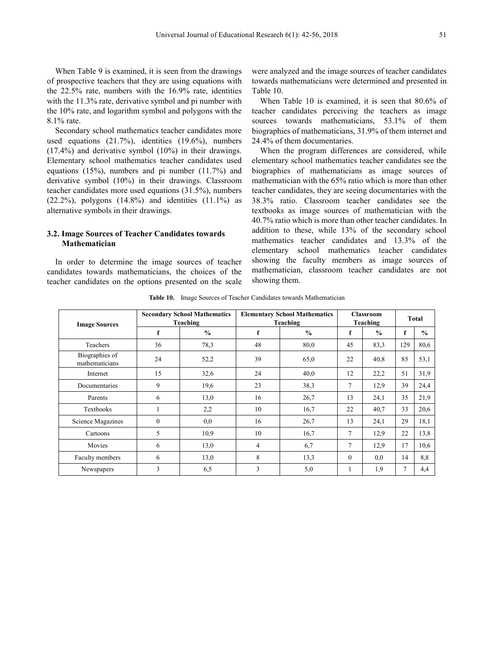When Table 9 is examined, it is seen from the drawings of prospective teachers that they are using equations with the 22.5% rate, numbers with the 16.9% rate, identities with the 11.3% rate, derivative symbol and pi number with the 10% rate, and logarithm symbol and polygons with the 8.1% rate.

Secondary school mathematics teacher candidates more used equations (21.7%), identities (19.6%), numbers (17.4%) and derivative symbol (10%) in their drawings. Elementary school mathematics teacher candidates used equations (15%), numbers and pi number (11.7%) and derivative symbol (10%) in their drawings. Classroom teacher candidates more used equations (31.5%), numbers  $(22.2\%)$ , polygons  $(14.8\%)$  and identities  $(11.1\%)$  as alternative symbols in their drawings.

#### **3.2. Image Sources of Teacher Candidates towards Mathematician**

In order to determine the image sources of teacher candidates towards mathematicians, the choices of the teacher candidates on the options presented on the scale were analyzed and the image sources of teacher candidates towards mathematicians were determined and presented in Table 10.

When Table 10 is examined, it is seen that 80.6% of teacher candidates perceiving the teachers as image sources towards mathematicians, 53.1% of them biographies of mathematicians, 31.9% of them internet and 24.4% of them documentaries.

When the program differences are considered, while elementary school mathematics teacher candidates see the biographies of mathematicians as image sources of mathematician with the 65% ratio which is more than other teacher candidates, they are seeing documentaries with the 38.3% ratio. Classroom teacher candidates see the textbooks as image sources of mathematician with the 40.7% ratio which is more than other teacher candidates. In addition to these, while 13% of the secondary school mathematics teacher candidates and 13.3% of the elementary school mathematics teacher candidates showing the faculty members as image sources of mathematician, classroom teacher candidates are not showing them.

**Table 10.** Image Sources of Teacher Candidates towards Mathematician

| <b>Image Sources</b>             |          | <b>Secondary School Mathematics</b><br>Teaching |                | <b>Elementary School Mathematics</b><br>Teaching |          | <b>Classroom</b><br>Teaching | Total |               |
|----------------------------------|----------|-------------------------------------------------|----------------|--------------------------------------------------|----------|------------------------------|-------|---------------|
|                                  | f        | $\frac{0}{0}$                                   | f              | $\frac{0}{0}$                                    | f        | $\frac{0}{0}$                | f     | $\frac{0}{0}$ |
| Teachers                         | 36       | 78,3                                            | 48             | 80,0                                             | 45       | 83,3                         | 129   | 80,6          |
| Biographies of<br>mathematicians | 24       | 52,2                                            | 39             | 65,0                                             | 22       | 40,8                         | 85    | 53,1          |
| Internet                         | 15       | 32,6                                            | 24             | 40,0                                             | 12       | 22,2                         | 51    | 31,9          |
| Documentaries                    | 9        | 19,6                                            | 23             | 38,3                                             | 7        | 12,9                         | 39    | 24,4          |
| Parents                          | 6        | 13,0                                            | 16             | 26,7                                             | 13       | 24,1                         | 35    | 21,9          |
| Textbooks                        |          | 2,2                                             | 10             | 16,7                                             | 22       | 40,7                         | 33    | 20,6          |
| Science Magazines                | $\theta$ | 0,0                                             | 16             | 26,7                                             | 13       | 24,1                         | 29    | 18,1          |
| Cartoons                         | 5        | 10.9                                            | 10             | 16,7                                             | $\tau$   | 12,9                         | 22    | 13,8          |
| Movies                           | 6        | 13,0                                            | $\overline{4}$ | 6,7                                              | 7        | 12,9                         | 17    | 10.6          |
| Faculty members                  | 6        | 13,0                                            | 8              | 13,3                                             | $\theta$ | 0.0                          | 14    | 8,8           |
| Newspapers                       | 3        | 6,5                                             | 3              | 5,0                                              | 1        | 1,9                          | 7     | 4,4           |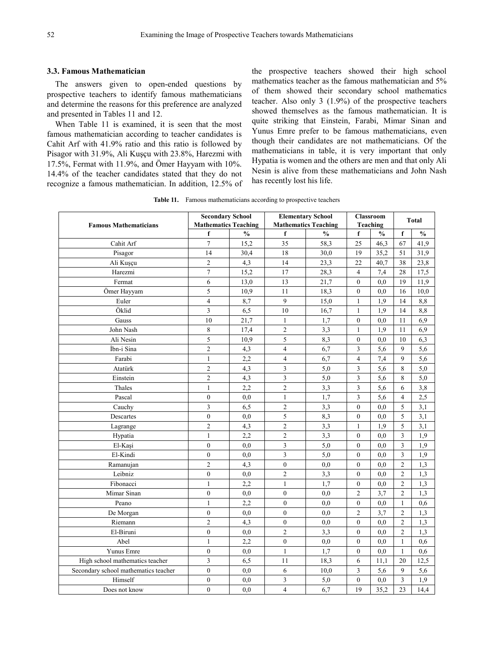#### **3.3. Famous Mathematician**

The answers given to open-ended questions by prospective teachers to identify famous mathematicians and determine the reasons for this preference are analyzed and presented in Tables 11 and 12.

When Table 11 is examined, it is seen that the most famous mathematician according to teacher candidates is Cahit Arf with 41.9% ratio and this ratio is followed by Pisagor with 31.9%, Ali Kuşçu with 23.8%, Harezmi with 17.5%, Fermat with 11.9%, and Ömer Hayyam with 10%. 14.4% of the teacher candidates stated that they do not recognize a famous mathematician. In addition, 12.5% of the prospective teachers showed their high school mathematics teacher as the famous mathematician and 5% of them showed their secondary school mathematics teacher. Also only 3 (1.9%) of the prospective teachers showed themselves as the famous mathematician. It is quite striking that Einstein, Farabi, Mimar Sinan and Yunus Emre prefer to be famous mathematicians, even though their candidates are not mathematicians. Of the mathematicians in table, it is very important that only Hypatia is women and the others are men and that only Ali Nesin is alive from these mathematicians and John Nash has recently lost his life.

**Table 11.** Famous mathematicians according to prospective teachers

|                                      | <b>Secondary School</b>     |               | <b>Elementary School</b>    |               | <b>Classroom</b>        | Total         |                         |               |
|--------------------------------------|-----------------------------|---------------|-----------------------------|---------------|-------------------------|---------------|-------------------------|---------------|
| <b>Famous Mathematicians</b>         | <b>Mathematics Teaching</b> |               | <b>Mathematics Teaching</b> |               |                         | Teaching      |                         |               |
|                                      | f                           | $\frac{0}{0}$ | f                           | $\frac{0}{0}$ | f                       | $\frac{0}{0}$ | f                       | $\frac{0}{0}$ |
| Cahit Arf                            | $\overline{7}$              | 15,2          | 35                          | 58,3          | 25                      | 46,3          | 67                      | 41,9          |
| Pisagor                              | 14                          | 30,4          | 18                          | 30,0          | 19                      | 35,2          | 51                      | 31,9          |
| Ali Kuşçu                            | $\overline{c}$              | 4,3           | 14                          | 23,3          | 22                      | 40,7          | 38                      | 23,8          |
| Harezmi                              | $\sqrt{ }$                  | 15,2          | 17                          | 28,3          | $\overline{4}$          | 7,4           | 28                      | 17,5          |
| Fermat                               | 6                           | 13,0          | 13                          | 21,7          | $\mathbf{0}$            | 0.0           | 19                      | 11,9          |
| Ömer Hayyam                          | 5                           | 10.9          | 11                          | 18,3          | $\mathbf{0}$            | 0.0           | 16                      | 10,0          |
| Euler                                | 4                           | 8,7           | 9                           | 15,0          | $\mathbf{1}$            | 1,9           | 14                      | 8,8           |
| Öklid                                | $\overline{\mathbf{3}}$     | 6,5           | 10                          | 16,7          | $\mathbf{1}$            | 1,9           | 14                      | 8,8           |
| Gauss                                | 10                          | 21,7          | 1                           | 1,7           | $\boldsymbol{0}$        | 0,0           | 11                      | 6,9           |
| John Nash                            | 8                           | 17,4          | $\overline{c}$              | 3,3           | $\mathbf{1}$            | 1.9           | 11                      | 6,9           |
| Ali Nesin                            | 5                           | 10,9          | 5                           | 8,3           | $\mathbf{0}$            | 0.0           | 10                      | 6,3           |
| İbn-i Sina                           | $\overline{2}$              | 4,3           | $\overline{\mathbf{4}}$     | 6,7           | 3                       | 5,6           | 9                       | 5,6           |
| Farabi                               | $\mathbf{1}$                | 2,2           | $\overline{\mathbf{4}}$     | 6,7           | $\overline{\mathbf{4}}$ | 7,4           | 9                       | 5,6           |
| Atatürk                              | $\overline{2}$              | 4,3           | 3                           | 5,0           | 3                       | 5,6           | 8                       | 5,0           |
| Einstein                             | $\overline{2}$              | 4,3           | 3                           | 5,0           | 3                       | 5,6           | 8                       | 5,0           |
| Thales                               | $\mathbf{1}$                | 2,2           | $\overline{c}$              | 3,3           | 3                       | 5,6           | 6                       | 3,8           |
| Pascal                               | $\boldsymbol{0}$            | 0.0           | 1                           | 1,7           | 3                       | 5,6           | $\overline{\mathbf{4}}$ | 2,5           |
| Cauchy                               | $\overline{\mathbf{3}}$     | 6,5           | $\overline{c}$              | 3,3           | $\boldsymbol{0}$        | $_{0,0}$      | 5                       | 3,1           |
| Descartes                            | $\overline{0}$              | 0.0           | 5                           | 8,3           | $\mathbf{0}$            | 0.0           | 5                       | 3,1           |
| Lagrange                             | $\overline{2}$              | 4,3           | $\overline{c}$              | 3,3           | 1                       | 1.9           | 5                       | 3,1           |
| Hypatia                              | $\mathbf{1}$                | 2,2           | $\overline{c}$              | 3,3           | $\mathbf{0}$            | 0.0           | 3                       | 1,9           |
| El-Kaşi                              | $\boldsymbol{0}$            | 0,0           | 3                           | 5,0           | $\boldsymbol{0}$        | 0,0           | $\overline{\mathbf{3}}$ | 1,9           |
| El-Kindi                             | $\mathbf{0}$                | 0.0           | 3                           | 5,0           | $\mathbf{0}$            | 0.0           | 3                       | 1,9           |
| Ramanujan                            | $\overline{2}$              | 4,3           | $\mathbf{0}$                | 0,0           | $\mathbf{0}$            | 0.0           | $\overline{c}$          | 1,3           |
| Leibniz                              | $\mathbf{0}$                | 0,0           | 2                           | 3,3           | $\mathbf{0}$            | 0.0           | 2                       | 1,3           |
| Fibonacci                            | $\mathbf{1}$                | 2,2           | $\mathbf{1}$                | 1,7           | $\boldsymbol{0}$        | 0.0           | $\overline{c}$          | 1,3           |
| Mimar Sinan                          | $\boldsymbol{0}$            | 0,0           | $\boldsymbol{0}$            | 0,0           | $\overline{2}$          | 3,7           | $\overline{c}$          | 1,3           |
| Peano                                | $\mathbf{1}$                | 2.2           | $\theta$                    | 0.0           | $\mathbf{0}$            | 0.0           | $\mathbf{1}$            | 0.6           |
| De Morgan                            | $\boldsymbol{0}$            | 0.0           | $\mathbf{0}$                | 0.0           | $\overline{2}$          | 3,7           | $\mathfrak{2}$          | 1,3           |
| Riemann                              | $\overline{c}$              | 4,3           | $\mathbf{0}$                | 0,0           | $\mathbf{0}$            | 0,0           | $\overline{c}$          | 1,3           |
| El-Biruni                            | $\boldsymbol{0}$            | 0,0           | $\overline{c}$              | 3,3           | $\boldsymbol{0}$        | 0,0           | $\overline{c}$          | 1,3           |
| Abel                                 | $\mathbf{1}$                | 2,2           | $\mathbf{0}$                | 0.0           | $\mathbf{0}$            | 0.0           | $\mathbf{1}$            | 0.6           |
| Yunus Emre                           | $\boldsymbol{0}$            | 0,0           | 1                           | 1.7           | $\mathbf{0}$            | 0.0           | $\mathbf{1}$            | 0,6           |
| High school mathematics teacher      | 3                           | 6,5           | 11                          | 18,3          | 6                       | 11,1          | 20                      | 12,5          |
| Secondary school mathematics teacher | $\boldsymbol{0}$            | 0,0           | 6                           | 10,0          | 3                       | 5,6           | 9                       | 5,6           |
| Himself                              | $\boldsymbol{0}$            | 0,0           | 3                           | 5,0           | $\boldsymbol{0}$        | 0,0           | $\overline{3}$          | 1,9           |
| Does not know                        | $\mathbf{0}$                | 0.0           | $\overline{4}$              | 6,7           | 19                      | 35,2          | 23                      | 14,4          |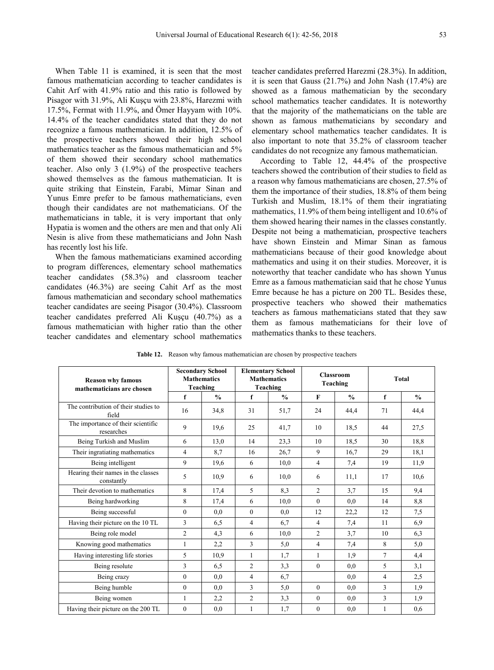When Table 11 is examined, it is seen that the most famous mathematician according to teacher candidates is Cahit Arf with 41.9% ratio and this ratio is followed by Pisagor with 31.9%, Ali Kuşçu with 23.8%, Harezmi with 17.5%, Fermat with 11.9%, and Ömer Hayyam with 10%. 14.4% of the teacher candidates stated that they do not recognize a famous mathematician. In addition, 12.5% of the prospective teachers showed their high school mathematics teacher as the famous mathematician and 5% of them showed their secondary school mathematics teacher. Also only 3 (1.9%) of the prospective teachers showed themselves as the famous mathematician. It is quite striking that Einstein, Farabi, Mimar Sinan and Yunus Emre prefer to be famous mathematicians, even though their candidates are not mathematicians. Of the mathematicians in table, it is very important that only Hypatia is women and the others are men and that only Ali Nesin is alive from these mathematicians and John Nash has recently lost his life.

When the famous mathematicians examined according to program differences, elementary school mathematics teacher candidates (58.3%) and classroom teacher candidates (46.3%) are seeing Cahit Arf as the most famous mathematician and secondary school mathematics teacher candidates are seeing Pisagor (30.4%). Classroom teacher candidates preferred Ali Kuşçu (40.7%) as a famous mathematician with higher ratio than the other teacher candidates and elementary school mathematics

teacher candidates preferred Harezmi (28.3%). In addition, it is seen that Gauss (21.7%) and John Nash (17.4%) are showed as a famous mathematician by the secondary school mathematics teacher candidates. It is noteworthy that the majority of the mathematicians on the table are shown as famous mathematicians by secondary and elementary school mathematics teacher candidates. It is also important to note that 35.2% of classroom teacher candidates do not recognize any famous mathematician.

According to Table 12, 44.4% of the prospective teachers showed the contribution of their studies to field as a reason why famous mathematicians are chosen, 27.5% of them the importance of their studies, 18.8% of them being Turkish and Muslim, 18.1% of them their ingratiating mathematics, 11.9% of them being intelligent and 10.6% of them showed hearing their names in the classes constantly. Despite not being a mathematician, prospective teachers have shown Einstein and Mimar Sinan as famous mathematicians because of their good knowledge about mathematics and using it on their studies. Moreover, it is noteworthy that teacher candidate who has shown Yunus Emre as a famous mathematician said that he chose Yunus Emre because he has a picture on 200 TL. Besides these, prospective teachers who showed their mathematics teachers as famous mathematicians stated that they saw them as famous mathematicians for their love of mathematics thanks to these teachers.

| <b>Reason why famous</b><br>mathematicians are chosen | <b>Secondary School</b><br><b>Mathematics</b><br>Teaching |               |                | <b>Elementary School</b><br><b>Mathematics</b><br>Teaching |                | <b>Classroom</b><br>Teaching | <b>Total</b> |               |  |
|-------------------------------------------------------|-----------------------------------------------------------|---------------|----------------|------------------------------------------------------------|----------------|------------------------------|--------------|---------------|--|
|                                                       | f                                                         | $\frac{0}{0}$ | f              | $\frac{0}{0}$                                              | $\mathbf F$    | $\frac{0}{0}$                | f            | $\frac{0}{0}$ |  |
| The contribution of their studies to<br>field         | 16                                                        | 34,8          | 31             | 51,7                                                       | 24             | 44,4                         | 71           | 44,4          |  |
| The importance of their scientific<br>researches      | 9                                                         | 19,6          | 25             | 41,7                                                       | 10             | 18.5                         | 44           | 27,5          |  |
| Being Turkish and Muslim                              | 6                                                         | 13,0          | 14             | 23,3                                                       | 10             | 18.5                         | 30           | 18,8          |  |
| Their ingratiating mathematics                        | 4                                                         | 8.7           | 16             | 26,7                                                       | 9              | 16.7                         | 29           | 18,1          |  |
| Being intelligent                                     | 9                                                         | 19,6          | 6              | 10,0                                                       | $\overline{4}$ | 7,4                          | 19           | 11,9          |  |
| Hearing their names in the classes<br>constantly      | 5                                                         | 10.9          | 6              | 10,0                                                       | 6              | 11,1                         | 17           | 10.6          |  |
| Their devotion to mathematics                         | 8                                                         | 17,4          | 5              | 8,3                                                        | $\overline{c}$ | 3.7                          | 15           | 9,4           |  |
| Being hardworking                                     | 8                                                         | 17,4          | 6              | 10,0                                                       | $\theta$       | 0.0                          | 14           | 8,8           |  |
| Being successful                                      | $\mathbf{0}$                                              | 0.0           | $\mathbf{0}$   | 0.0                                                        | 12             | 22,2                         | 12           | 7,5           |  |
| Having their picture on the 10 TL                     | 3                                                         | 6,5           | $\overline{4}$ | 6,7                                                        | $\overline{4}$ | 7,4                          | 11           | 6,9           |  |
| Being role model                                      | $\overline{2}$                                            | 4,3           | 6              | 10,0                                                       | $\overline{c}$ | 3.7                          | 10           | 6,3           |  |
| Knowing good mathematics                              | 1                                                         | 2,2           | 3              | 5,0                                                        | $\overline{4}$ | 7,4                          | 8            | 5,0           |  |
| Having interesting life stories                       | 5                                                         | 10.9          | 1              | 1,7                                                        | $\mathbf{1}$   | 1.9                          | 7            | 4,4           |  |
| Being resolute                                        | 3                                                         | 6,5           | $\overline{2}$ | 3,3                                                        | $\theta$       | 0.0                          | 5            | 3,1           |  |
| Being crazy                                           | $\overline{0}$                                            | 0.0           | $\overline{4}$ | 6,7                                                        |                | 0.0                          | 4            | 2,5           |  |
| Being humble                                          | $\theta$                                                  | 0.0           | 3              | 5,0                                                        | $\theta$       | 0.0                          | 3            | 1,9           |  |
| Being women                                           | $\mathbf{1}$                                              | 2,2           | $\overline{c}$ | 3,3                                                        | $\theta$       | 0.0                          | 3            | 1,9           |  |
| Having their picture on the 200 TL                    | $\overline{0}$                                            | 0,0           | 1              | 1,7                                                        | $\mathbf{0}$   | 0.0                          | $\mathbf{1}$ | 0.6           |  |

**Table 12.** Reason why famous mathematician are chosen by prospective teachers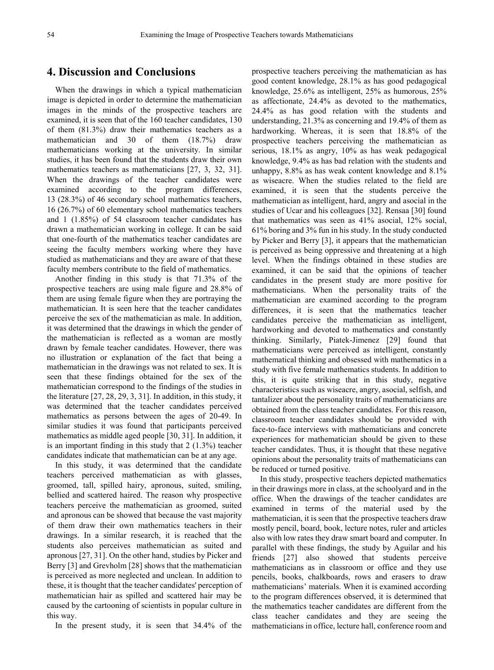## **4. Discussion and Conclusions**

When the drawings in which a typical mathematician image is depicted in order to determine the mathematician images in the minds of the prospective teachers are examined, it is seen that of the 160 teacher candidates, 130 of them (81.3%) draw their mathematics teachers as a mathematician and 30 of them (18.7%) draw mathematicians working at the university. In similar studies, it has been found that the students draw their own mathematics teachers as mathematicians [27, 3, 32, 31]. When the drawings of the teacher candidates were examined according to the program differences, 13 (28.3%) of 46 secondary school mathematics teachers, 16 (26.7%) of 60 elementary school mathematics teachers and 1 (1.85%) of 54 classroom teacher candidates has drawn a mathematician working in college. It can be said that one-fourth of the mathematics teacher candidates are seeing the faculty members working where they have studied as mathematicians and they are aware of that these faculty members contribute to the field of mathematics.

Another finding in this study is that 71.3% of the prospective teachers are using male figure and 28.8% of them are using female figure when they are portraying the mathematician. It is seen here that the teacher candidates perceive the sex of the mathematician as male. In addition, it was determined that the drawings in which the gender of the mathematician is reflected as a woman are mostly drawn by female teacher candidates. However, there was no illustration or explanation of the fact that being a mathematician in the drawings was not related to sex. It is seen that these findings obtained for the sex of the mathematician correspond to the findings of the studies in the literature [27, 28, 29, 3, 31]. In addition, in this study, it was determined that the teacher candidates perceived mathematics as persons between the ages of 20-49. In similar studies it was found that participants perceived mathematics as middle aged people [30, 31]. In addition, it is an important finding in this study that 2 (1.3%) teacher candidates indicate that mathematician can be at any age.

In this study, it was determined that the candidate teachers perceived mathematician as with glasses, groomed, tall, spilled hairy, apronous, suited, smiling, bellied and scattered haired. The reason why prospective teachers perceive the mathematician as groomed, suited and apronous can be showed that because the vast majority of them draw their own mathematics teachers in their drawings. In a similar research, it is reached that the students also perceives mathematician as suited and apronous [27, 31]. On the other hand, studies by Picker and Berry [3] and Grevholm [28] shows that the mathematician is perceived as more neglected and unclean. In addition to these, it is thought that the teacher candidates' perception of mathematician hair as spilled and scattered hair may be caused by the cartooning of scientists in popular culture in this way.

In the present study, it is seen that 34.4% of the

prospective teachers perceiving the mathematician as has good content knowledge, 28.1% as has good pedagogical knowledge, 25.6% as intelligent, 25% as humorous, 25% as affectionate, 24.4% as devoted to the mathematics, 24.4% as has good relation with the students and understanding, 21.3% as concerning and 19.4% of them as hardworking. Whereas, it is seen that 18.8% of the prospective teachers perceiving the mathematician as serious, 18.1% as angry, 10% as has weak pedagogical knowledge, 9.4% as has bad relation with the students and unhappy, 8.8% as has weak content knowledge and 8.1% as wiseacre. When the studies related to the field are examined, it is seen that the students perceive the mathematician as intelligent, hard, angry and asocial in the studies of Ucar and his colleagues [32]. Rensaa [30] found that mathematics was seen as 41% asocial, 12% social, 61% boring and 3% fun in his study. In the study conducted by Picker and Berry [3], it appears that the mathematician is perceived as being oppressive and threatening at a high level. When the findings obtained in these studies are examined, it can be said that the opinions of teacher candidates in the present study are more positive for mathematicians. When the personality traits of the mathematician are examined according to the program differences, it is seen that the mathematics teacher candidates perceive the mathematician as intelligent, hardworking and devoted to mathematics and constantly thinking. Similarly, Piatek-Jimenez [29] found that mathematicians were perceived as intelligent, constantly mathematical thinking and obsessed with mathematics in a study with five female mathematics students. In addition to this, it is quite striking that in this study, negative characteristics such as wiseacre, angry, asocial, selfish, and tantalizer about the personality traits of mathematicians are obtained from the class teacher candidates. For this reason, classroom teacher candidates should be provided with face-to-face interviews with mathematicians and concrete experiences for mathematician should be given to these teacher candidates. Thus, it is thought that these negative opinions about the personality traits of mathematicians can be reduced or turned positive.

In this study, prospective teachers depicted mathematics in their drawings more in class, at the schoolyard and in the office. When the drawings of the teacher candidates are examined in terms of the material used by the mathematician, it is seen that the prospective teachers draw mostly pencil, board, book, lecture notes, ruler and articles also with low rates they draw smart board and computer. In parallel with these findings, the study by Aguilar and his friends [27] also showed that students perceive mathematicians as in classroom or office and they use pencils, books, chalkboards, rows and erasers to draw mathematicians' materials. When it is examined according to the program differences observed, it is determined that the mathematics teacher candidates are different from the class teacher candidates and they are seeing the mathematicians in office, lecture hall, conference room and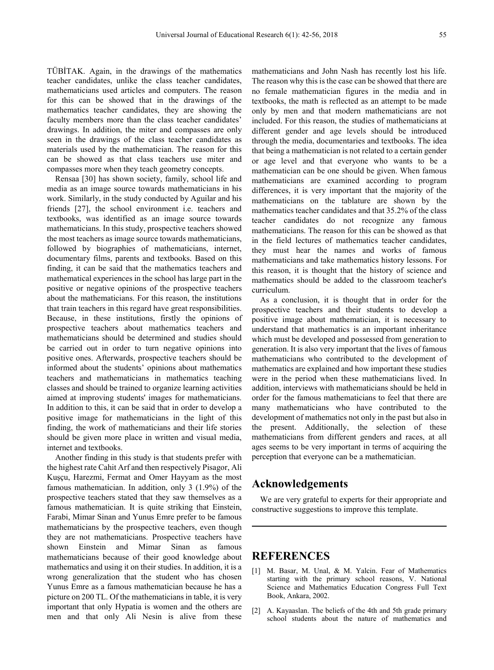TÜBİTAK. Again, in the drawings of the mathematics teacher candidates, unlike the class teacher candidates, mathematicians used articles and computers. The reason for this can be showed that in the drawings of the mathematics teacher candidates, they are showing the faculty members more than the class teacher candidates' drawings. In addition, the miter and compasses are only seen in the drawings of the class teacher candidates as materials used by the mathematician. The reason for this can be showed as that class teachers use miter and compasses more when they teach geometry concepts.

Rensaa [30] has shown society, family, school life and media as an image source towards mathematicians in his work. Similarly, in the study conducted by Aguilar and his friends [27], the school environment i.e. teachers and textbooks, was identified as an image source towards mathematicians. In this study, prospective teachers showed the most teachers as image source towards mathematicians, followed by biographies of mathematicians, internet, documentary films, parents and textbooks. Based on this finding, it can be said that the mathematics teachers and mathematical experiences in the school has large part in the positive or negative opinions of the prospective teachers about the mathematicians. For this reason, the institutions that train teachers in this regard have great responsibilities. Because, in these institutions, firstly the opinions of prospective teachers about mathematics teachers and mathematicians should be determined and studies should be carried out in order to turn negative opinions into positive ones. Afterwards, prospective teachers should be informed about the students' opinions about mathematics teachers and mathematicians in mathematics teaching classes and should be trained to organize learning activities aimed at improving students' images for mathematicians. In addition to this, it can be said that in order to develop a positive image for mathematicians in the light of this finding, the work of mathematicians and their life stories should be given more place in written and visual media, internet and textbooks.

Another finding in this study is that students prefer with the highest rate Cahit Arf and then respectively Pisagor, Ali Kuşçu, Harezmi, Fermat and Omer Hayyam as the most famous mathematician. In addition, only 3 (1.9%) of the prospective teachers stated that they saw themselves as a famous mathematician. It is quite striking that Einstein, Farabi, Mimar Sinan and Yunus Emre prefer to be famous mathematicians by the prospective teachers, even though they are not mathematicians. Prospective teachers have shown Einstein and Mimar Sinan as famous mathematicians because of their good knowledge about mathematics and using it on their studies. In addition, it is a wrong generalization that the student who has chosen Yunus Emre as a famous mathematician because he has a picture on 200 TL. Of the mathematicians in table, it is very important that only Hypatia is women and the others are men and that only Ali Nesin is alive from these

mathematicians and John Nash has recently lost his life. The reason why this is the case can be showed that there are no female mathematician figures in the media and in textbooks, the math is reflected as an attempt to be made only by men and that modern mathematicians are not included. For this reason, the studies of mathematicians at different gender and age levels should be introduced through the media, documentaries and textbooks. The idea that being a mathematician is not related to a certain gender or age level and that everyone who wants to be a mathematician can be one should be given. When famous mathematicians are examined according to program differences, it is very important that the majority of the mathematicians on the tablature are shown by the mathematics teacher candidates and that 35.2% of the class teacher candidates do not recognize any famous mathematicians. The reason for this can be showed as that in the field lectures of mathematics teacher candidates, they must hear the names and works of famous mathematicians and take mathematics history lessons. For this reason, it is thought that the history of science and mathematics should be added to the classroom teacher's curriculum.

As a conclusion, it is thought that in order for the prospective teachers and their students to develop a positive image about mathematician, it is necessary to understand that mathematics is an important inheritance which must be developed and possessed from generation to generation. It is also very important that the lives of famous mathematicians who contributed to the development of mathematics are explained and how important these studies were in the period when these mathematicians lived. In addition, interviews with mathematicians should be held in order for the famous mathematicians to feel that there are many mathematicians who have contributed to the development of mathematics not only in the past but also in the present. Additionally, the selection of these mathematicians from different genders and races, at all ages seems to be very important in terms of acquiring the perception that everyone can be a mathematician.

### **Acknowledgements**

We are very grateful to experts for their appropriate and constructive suggestions to improve this template.

#### **REFERENCES**

- [1] M. Basar, M. Unal, & M. Yalcin. Fear of Mathematics starting with the primary school reasons, V. National Science and Mathematics Education Congress Full Text Book, Ankara, 2002.
- [2] A. Kayaaslan. The beliefs of the 4th and 5th grade primary school students about the nature of mathematics and